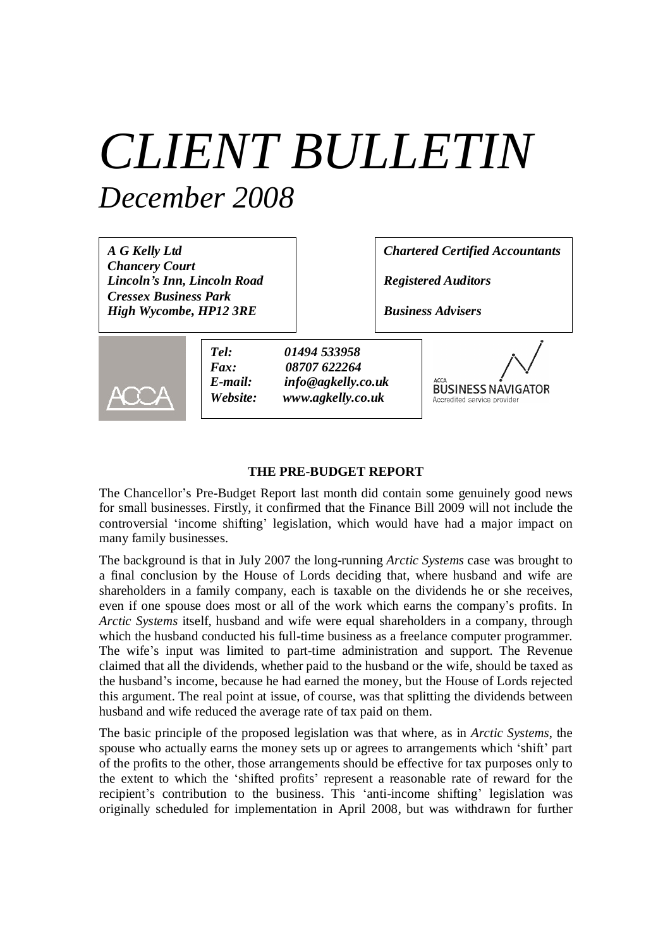# *CLIENT BULLETIN December 2008*

| A G Kelly Ltd<br><b>Chancery Court</b><br>Lincoln's Inn, Lincoln Road |                                     |                                                                         | <b>Chartered Certified Accountants</b><br><b>Registered Auditors</b>    |  |  |
|-----------------------------------------------------------------------|-------------------------------------|-------------------------------------------------------------------------|-------------------------------------------------------------------------|--|--|
| <b>Cressex Business Park</b><br>High Wycombe, HP12 3RE                |                                     |                                                                         | <b>Business Advisers</b>                                                |  |  |
|                                                                       | Tel:<br>Fax:<br>E-mail:<br>Website: | 01494 533958<br>08707 622264<br>info@agkelly.co.uk<br>www.agkelly.co.uk | <b>ACCA</b><br><b>BUSINESS NAVIGATOR</b><br>Accredited service provider |  |  |

#### **THE PRE-BUDGET REPORT**

The Chancellor's Pre-Budget Report last month did contain some genuinely good news for small businesses. Firstly, it confirmed that the Finance Bill 2009 will not include the controversial 'income shifting' legislation, which would have had a major impact on many family businesses.

The background is that in July 2007 the long-running *Arctic Systems* case was brought to a final conclusion by the House of Lords deciding that, where husband and wife are shareholders in a family company, each is taxable on the dividends he or she receives, even if one spouse does most or all of the work which earns the company's profits. In *Arctic Systems* itself, husband and wife were equal shareholders in a company, through which the husband conducted his full-time business as a freelance computer programmer. The wife's input was limited to part-time administration and support. The Revenue claimed that all the dividends, whether paid to the husband or the wife, should be taxed as the husband's income, because he had earned the money, but the House of Lords rejected this argument. The real point at issue, of course, was that splitting the dividends between husband and wife reduced the average rate of tax paid on them.

The basic principle of the proposed legislation was that where, as in *Arctic Systems*, the spouse who actually earns the money sets up or agrees to arrangements which 'shift' part of the profits to the other, those arrangements should be effective for tax purposes only to the extent to which the 'shifted profits' represent a reasonable rate of reward for the recipient's contribution to the business. This 'anti-income shifting' legislation was originally scheduled for implementation in April 2008, but was withdrawn for further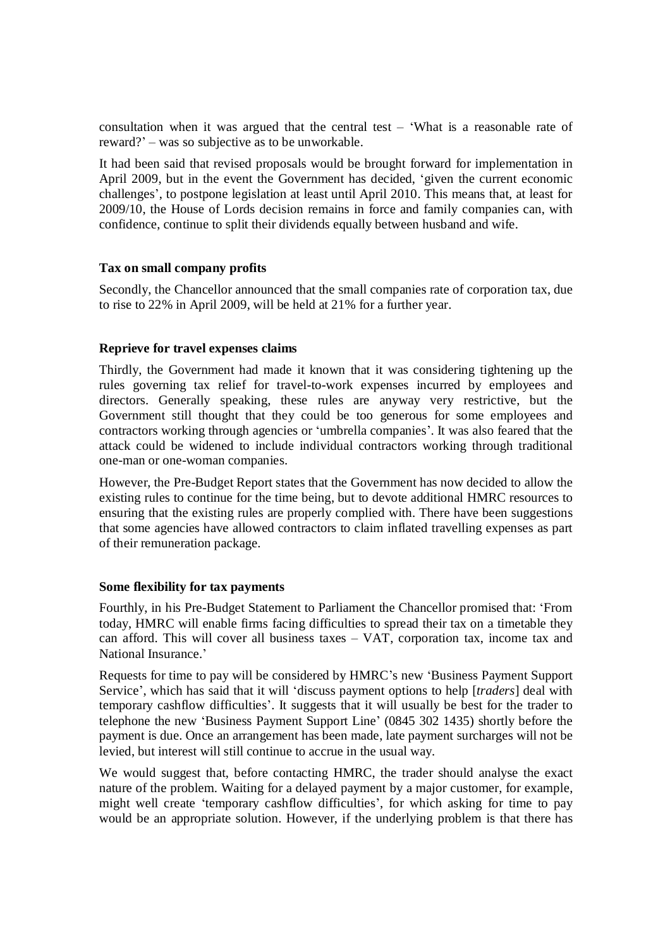consultation when it was argued that the central test –'What is a reasonable rate of reward?'– was so subjective as to be unworkable.

It had been said that revised proposals would be brought forward for implementation in April 2009, but in the event the Government has decided, 'given the current economic challenges', to postpone legislation at least until April 2010. This means that, at least for 2009/10, the House of Lords decision remains in force and family companies can, with confidence, continue to split their dividends equally between husband and wife.

## **Tax on small company profits**

Secondly, the Chancellor announced that the small companies rate of corporation tax, due to rise to 22% in April 2009, will be held at 21% for a further year.

## **Reprieve for travel expenses claims**

Thirdly, the Government had made it known that it was considering tightening up the rules governing tax relief for travel-to-work expenses incurred by employees and directors. Generally speaking, these rules are anyway very restrictive, but the Government still thought that they could be too generous for some employees and contractors working through agencies or 'umbrella companies'. It was also feared that the attack could be widened to include individual contractors working through traditional one-man or one-woman companies.

However, the Pre-Budget Report states that the Government has now decided to allow the existing rules to continue for the time being, but to devote additional HMRC resources to ensuring that the existing rules are properly complied with. There have been suggestions that some agencies have allowed contractors to claim inflated travelling expenses as part of their remuneration package.

#### **Some flexibility for tax payments**

Fourthly, in his Pre-Budget Statement to Parliament the Chancellor promised that: 'From today, HMRC will enable firms facing difficulties to spread their tax on a timetable they can afford. This will cover all business taxes – VAT, corporation tax, income tax and National Insurance.'

Requests for time to pay will be considered by HMRC's new 'Business Payment Support Service', which has said that it will 'discuss payment options to help [*traders*] deal with temporary cashflow difficulties'. It suggests that it will usually be best for the trader to telephone the new 'Business Payment Support Line' (0845 302 1435) shortly before the payment is due. Once an arrangement has been made, late payment surcharges will not be levied, but interest will still continue to accrue in the usual way.

We would suggest that, before contacting HMRC, the trader should analyse the exact nature of the problem. Waiting for a delayed payment by a major customer, for example, might well create 'temporary cashflow difficulties', for which asking for time to pay would be an appropriate solution. However, if the underlying problem is that there has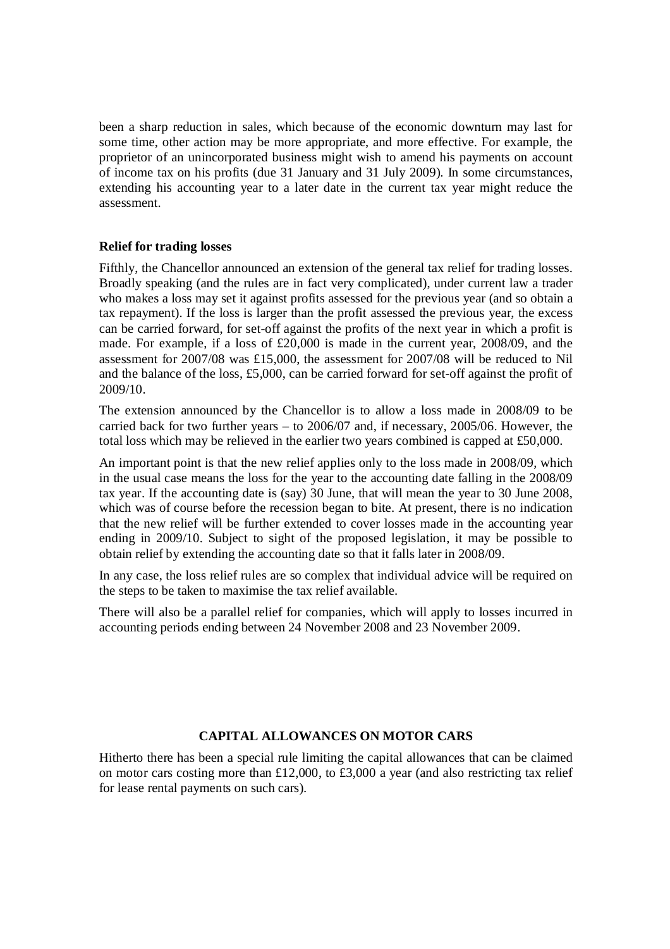been a sharp reduction in sales, which because of the economic downturn may last for some time, other action may be more appropriate, and more effective. For example, the proprietor of an unincorporated business might wish to amend his payments on account of income tax on his profits (due 31 January and 31 July 2009). In some circumstances, extending his accounting year to a later date in the current tax year might reduce the assessment.

### **Relief for trading losses**

Fifthly, the Chancellor announced an extension of the general tax relief for trading losses. Broadly speaking (and the rules are in fact very complicated), under current law a trader who makes a loss may set it against profits assessed for the previous year (and so obtain a tax repayment). If the loss is larger than the profit assessed the previous year, the excess can be carried forward, for set-off against the profits of the next year in which a profit is made. For example, if a loss of £20,000 is made in the current year, 2008/09, and the assessment for 2007/08 was £15,000, the assessment for 2007/08 will be reduced to Nil and the balance of the loss, £5,000, can be carried forward for set-off against the profit of 2009/10.

The extension announced by the Chancellor is to allow a loss made in 2008/09 to be carried back for two further years – to 2006/07 and, if necessary, 2005/06. However, the total loss which may be relieved in the earlier two years combined is capped at £50,000.

An important point is that the new relief applies only to the loss made in 2008/09, which in the usual case means the loss for the year to the accounting date falling in the 2008/09 tax year. If the accounting date is (say) 30 June, that will mean the year to 30 June 2008, which was of course before the recession began to bite. At present, there is no indication that the new relief will be further extended to cover losses made in the accounting year ending in 2009/10. Subject to sight of the proposed legislation, it may be possible to obtain relief by extending the accounting date so that it falls later in 2008/09.

In any case, the loss relief rules are so complex that individual advice will be required on the steps to be taken to maximise the tax relief available.

There will also be a parallel relief for companies, which will apply to losses incurred in accounting periods ending between 24 November 2008 and 23 November 2009.

## **CAPITAL ALLOWANCES ON MOTOR CARS**

Hitherto there has been a special rule limiting the capital allowances that can be claimed on motor cars costing more than £12,000, to £3,000 a year (and also restricting tax relief for lease rental payments on such cars).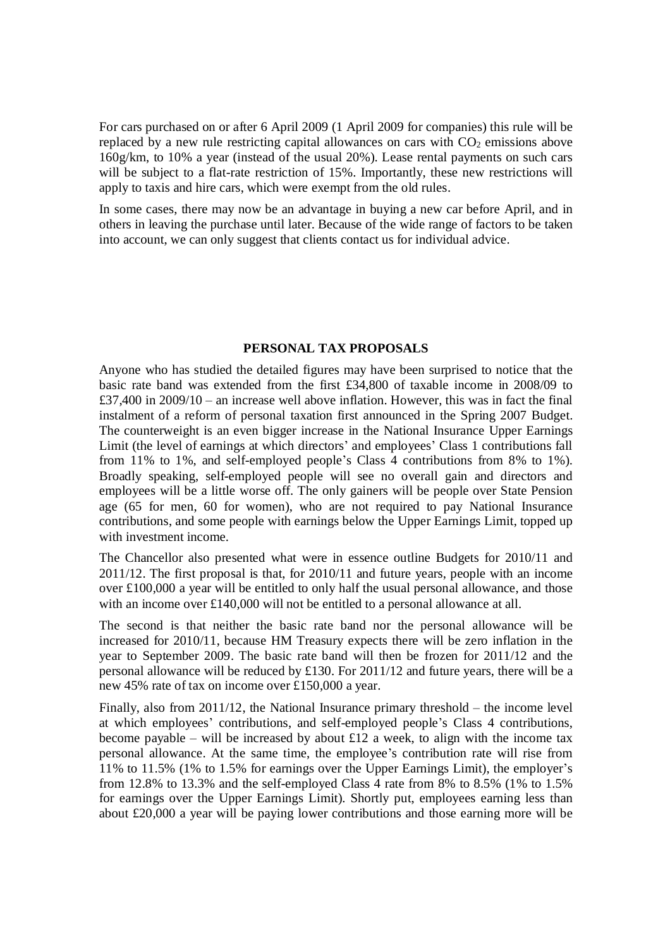For cars purchased on or after 6 April 2009 (1 April 2009 for companies) this rule will be replaced by a new rule restricting capital allowances on cars with  $CO<sub>2</sub>$  emissions above 160g/km, to 10% a year (instead of the usual 20%). Lease rental payments on such cars will be subject to a flat-rate restriction of 15%. Importantly, these new restrictions will apply to taxis and hire cars, which were exempt from the old rules.

In some cases, there may now be an advantage in buying a new car before April, and in others in leaving the purchase until later. Because of the wide range of factors to be taken into account, we can only suggest that clients contact us for individual advice.

#### **PERSONAL TAX PROPOSALS**

Anyone who has studied the detailed figures may have been surprised to notice that the basic rate band was extended from the first £34,800 of taxable income in 2008/09 to £37,400 in 2009/10 – an increase well above inflation. However, this was in fact the final instalment of a reform of personal taxation first announced in the Spring 2007 Budget. The counterweight is an even bigger increase in the National Insurance Upper Earnings Limit (the level of earnings at which directors' and employees' Class 1 contributions fall from 11% to 1%, and self-employed people's Class 4 contributions from 8% to 1%). Broadly speaking, self-employed people will see no overall gain and directors and employees will be a little worse off. The only gainers will be people over State Pension age (65 for men, 60 for women), who are not required to pay National Insurance contributions, and some people with earnings below the Upper Earnings Limit, topped up with investment income.

The Chancellor also presented what were in essence outline Budgets for 2010/11 and 2011/12. The first proposal is that, for 2010/11 and future years, people with an income over £100,000 a year will be entitled to only half the usual personal allowance, and those with an income over £140,000 will not be entitled to a personal allowance at all.

The second is that neither the basic rate band nor the personal allowance will be increased for 2010/11, because HM Treasury expects there will be zero inflation in the year to September 2009. The basic rate band will then be frozen for 2011/12 and the personal allowance will be reduced by £130. For 2011/12 and future years, there will be a new 45% rate of tax on income over £150,000 a year.

Finally, also from 2011/12, the National Insurance primary threshold – the income level at which employees' contributions, and self-employed people's Class 4 contributions, become payable – will be increased by about £12 a week, to align with the income tax personal allowance. At the same time, the employee's contribution rate will rise from 11% to 11.5% (1% to 1.5% for earnings over the Upper Earnings Limit), the employer's from 12.8% to 13.3% and the self-employed Class 4 rate from 8% to 8.5% (1% to 1.5% for earnings over the Upper Earnings Limit). Shortly put, employees earning less than about £20,000 a year will be paying lower contributions and those earning more will be